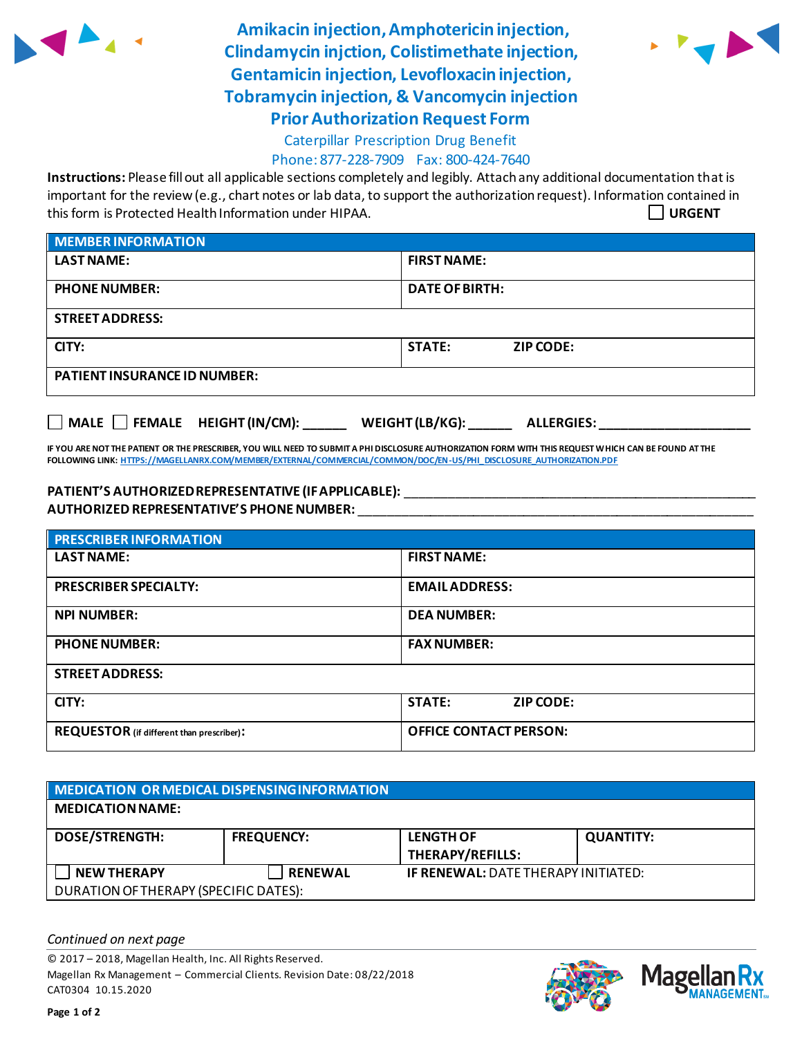

**Amikacin injection, Amphotericin injection, Clindamycin injction, Colistimethate injection, Gentamicin injection, Levofloxacin injection, Tobramycin injection, & Vancomycin injection Prior Authorization Request Form**



## Caterpillar Prescription Drug Benefit

Phone: 877-228-7909 Fax: 800-424-7640

**Instructions:** Please fill out all applicable sections completely and legibly. Attach any additional documentation that is important for the review (e.g., chart notes or lab data, to support the authorization request). Information contained in this form is Protected Health Information under HIPAA. **URGENT**

| <b>MEMBER INFORMATION</b>           |                            |  |  |
|-------------------------------------|----------------------------|--|--|
| <b>LAST NAME:</b>                   | <b>FIRST NAME:</b>         |  |  |
| <b>PHONE NUMBER:</b>                | <b>DATE OF BIRTH:</b>      |  |  |
| <b>STREET ADDRESS:</b>              |                            |  |  |
| CITY:                               | <b>STATE:</b><br>ZIP CODE: |  |  |
| <b>PATIENT INSURANCE ID NUMBER:</b> |                            |  |  |

**MALE FEMALE HEIGHT (IN/CM): \_\_\_\_\_\_ WEIGHT (LB/KG): \_\_\_\_\_\_ ALLERGIES: \_\_\_\_\_\_\_\_\_\_\_\_\_\_\_\_\_\_\_\_\_**

**IF YOU ARE NOT THE PATIENT OR THE PRESCRIBER, YOU WILL NEED TO SUBMIT A PHI DISCLOSURE AUTHORIZATION FORM WITH THIS REQUEST WHICH CAN BE FOUND AT THE FOLLOWING LINK[: HTTPS://MAGELLANRX.COM/MEMBER/EXTERNAL/COMMERCIAL/COMMON/DOC/EN-US/PHI\\_DISCLOSURE\\_AUTHORIZATION.PDF](https://magellanrx.com/member/external/commercial/common/doc/en-us/PHI_Disclosure_Authorization.pdf)**

## **PATIENT'S AUTHORIZED REPRESENTATIVE (IF APPLICABLE):** \_\_\_\_\_\_\_\_\_\_\_\_\_\_\_\_\_\_\_\_\_\_\_\_\_\_\_\_\_\_\_\_\_\_\_\_\_\_\_\_\_\_\_\_\_\_\_\_\_ **AUTHORIZED REPRESENTATIVE'S PHONE NUMBER:** \_\_\_\_\_\_\_\_\_\_\_\_\_\_\_\_\_\_\_\_\_\_\_\_\_\_\_\_\_\_\_\_\_\_\_\_\_\_\_\_\_\_\_\_\_\_\_\_\_\_\_\_\_\_\_

| <b>PRESCRIBER INFORMATION</b>             |                                   |  |  |  |
|-------------------------------------------|-----------------------------------|--|--|--|
| <b>LAST NAME:</b>                         | <b>FIRST NAME:</b>                |  |  |  |
| <b>PRESCRIBER SPECIALTY:</b>              | <b>EMAILADDRESS:</b>              |  |  |  |
| <b>NPI NUMBER:</b>                        | <b>DEA NUMBER:</b>                |  |  |  |
| <b>PHONE NUMBER:</b>                      | <b>FAX NUMBER:</b>                |  |  |  |
| <b>STREET ADDRESS:</b>                    |                                   |  |  |  |
| CITY:                                     | <b>STATE:</b><br><b>ZIP CODE:</b> |  |  |  |
| REQUESTOR (if different than prescriber): | <b>OFFICE CONTACT PERSON:</b>     |  |  |  |

| <b>MEDICATION OR MEDICAL DISPENSING INFORMATION</b> |                   |                |                                             |                  |  |
|-----------------------------------------------------|-------------------|----------------|---------------------------------------------|------------------|--|
| <b>MEDICATION NAME:</b>                             |                   |                |                                             |                  |  |
| <b>DOSE/STRENGTH:</b>                               | <b>FREQUENCY:</b> |                | <b>LENGTH OF</b><br><b>THERAPY/REFILLS:</b> | <b>QUANTITY:</b> |  |
| <b>NEW THERAPY</b>                                  |                   | <b>RENEWAL</b> | <b>IF RENEWAL: DATE THERAPY INITIATED:</b>  |                  |  |
| DURATION OF THERAPY (SPECIFIC DATES):               |                   |                |                                             |                  |  |

*Continued on next page*

© 2017 – 2018, Magellan Health, Inc. All Rights Reserved. Magellan Rx Management – Commercial Clients. Revision Date: 08/22/2018 CAT0304 10.15.2020